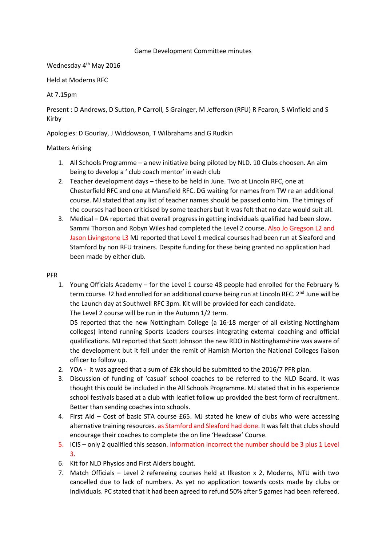### Game Development Committee minutes

Wednesday 4<sup>th</sup> May 2016

Held at Moderns RFC

# At 7.15pm

Present : D Andrews, D Sutton, P Carroll, S Grainger, M Jefferson (RFU) R Fearon, S Winfield and S Kirby

Apologies: D Gourlay, J Widdowson, T Wilbrahams and G Rudkin

# Matters Arising

- 1. All Schools Programme a new initiative being piloted by NLD. 10 Clubs choosen. An aim being to develop a ' club coach mentor' in each club
- 2. Teacher development days these to be held in June. Two at Lincoln RFC, one at Chesterfield RFC and one at Mansfield RFC. DG waiting for names from TW re an additional course. MJ stated that any list of teacher names should be passed onto him. The timings of the courses had been criticised by some teachers but it was felt that no date would suit all.
- 3. Medical DA reported that overall progress in getting individuals qualified had been slow. Sammi Thorson and Robyn Wiles had completed the Level 2 course. Also Jo Gregson L2 and Jason Livingstone L3 MJ reported that Level 1 medical courses had been run at Sleaford and Stamford by non RFU trainers. Despite funding for these being granted no application had been made by either club.

## PFR

1. Young Officials Academy – for the Level 1 course 48 people had enrolled for the February ½ term course. !2 had enrolled for an additional course being run at Lincoln RFC. 2<sup>nd</sup> June will be the Launch day at Southwell RFC 3pm. Kit will be provided for each candidate.

The Level 2 course will be run in the Autumn 1/2 term.

DS reported that the new Nottingham College (a 16-18 merger of all existing Nottingham colleges) intend running Sports Leaders courses integrating external coaching and official qualifications. MJ reported that Scott Johnson the new RDO in Nottinghamshire was aware of the development but it fell under the remit of Hamish Morton the National Colleges liaison officer to follow up.

- 2. YOA it was agreed that a sum of £3k should be submitted to the 2016/7 PFR plan.
- 3. Discussion of funding of 'casual' school coaches to be referred to the NLD Board. It was thought this could be included in the All Schools Programme. MJ stated that in his experience school festivals based at a club with leaflet follow up provided the best form of recruitment. Better than sending coaches into schools.
- 4. First Aid Cost of basic STA course £65. MJ stated he knew of clubs who were accessing alternative training resources. as Stamford and Sleaford had done. It was felt that clubs should encourage their coaches to complete the on line 'Headcase' Course.
- 5. ICIS only 2 qualified this season. Information incorrect the number should be 3 plus 1 Level 3.
- 6. Kit for NLD Physios and First Aiders bought.
- 7. Match Officials Level 2 refereeing courses held at Ilkeston x 2, Moderns, NTU with two cancelled due to lack of numbers. As yet no application towards costs made by clubs or individuals. PC stated that it had been agreed to refund 50% after 5 games had been refereed.